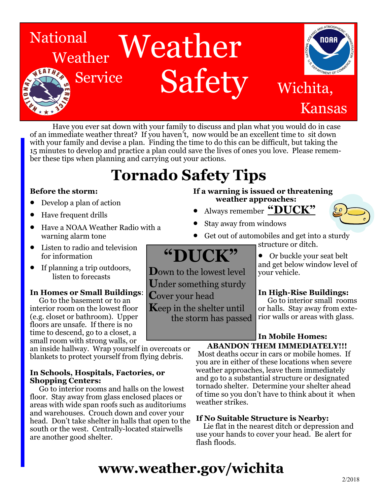

Have you ever sat down with your family to discuss and plan what you would do in case of an immediate weather threat? If you haven't, now would be an excellent time to sit down with your family and devise a plan. Finding the time to do this can be difficult, but taking the 15 minutes to develop and practice a plan could save the lives of ones you love. Please remember these tips when planning and carrying out your actions.

## **Tornado Safety Tips**

### **Before the storm:**

- Develop a plan of action
- Have frequent drills
- Have a NOAA Weather Radio with a warning alarm tone
- Listen to radio and television for information
- If planning a trip outdoors, listen to forecasts

### **In Homes or Small Buildings**:

 Go to the basement or to an interior room on the lowest floor (e.g. closet or bathroom). Upper floors are unsafe. If there is no time to descend, go to a closet, a small room with strong walls, or

an inside hallway. Wrap yourself in overcoats or blankets to protect yourself from flying debris.

### **In Schools, Hospitals, Factories, or Shopping Centers:**

 Go to interior rooms and halls on the lowest floor. Stay away from glass enclosed places or areas with wide span roofs such as auditoriums and warehouses. Crouch down and cover your head. Don't take shelter in halls that open to the south or the west. Centrally-located stairwells are another good shelter.

### **If a warning is issued or threatening weather approaches:**

- Always remember **"DUCK"**
- Stay away from windows
- Get out of automobiles and get into a sturdy structure or ditch.

## **"DUCK"**

**D**own to the lowest level **U**nder something sturdy **C**over your head

**K**eep in the shelter until the storm has passed

### Or buckle your seat belt and get below window level of your vehicle.

### **In High-Rise Buildings:**

Go to interior small rooms or halls. Stay away from exterior walls or areas with glass.

### **In Mobile Homes: ABANDON THEM IMMEDIATELY!!!**

Most deaths occur in cars or mobile homes. If you are in either of these locations when severe weather approaches, leave them immediately and go to a substantial structure or designated tornado shelter. Determine your shelter ahead of time so you don't have to think about it when weather strikes.

### **If No Suitable Structure is Nearby:**

 Lie flat in the nearest ditch or depression and use your hands to cover your head. Be alert for flash floods.

## **www.weather.gov/wichita**